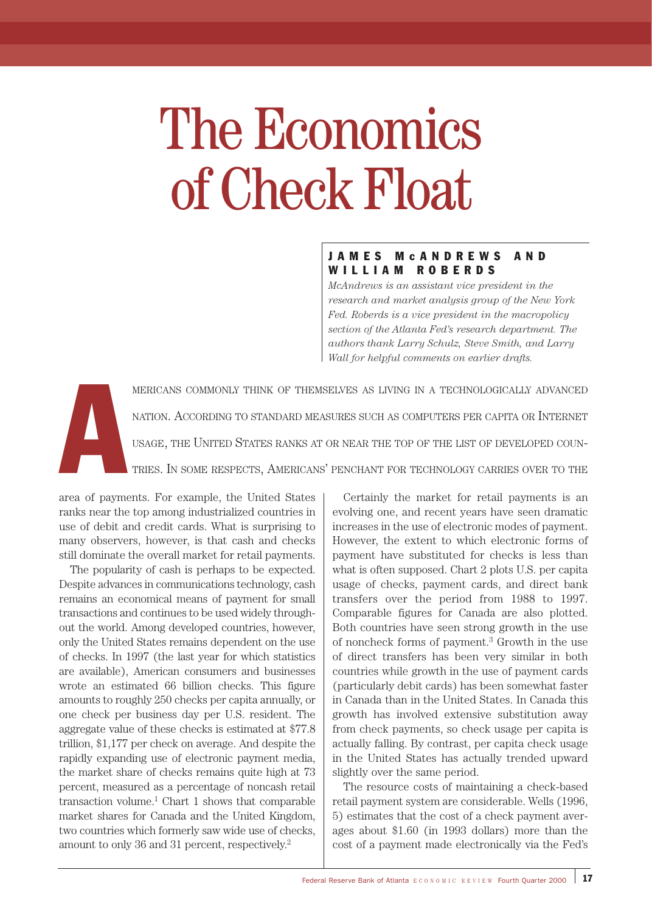# The Economics of Check Float

# JAMES McANDREWS AND WILLIAM ROBERDS

*McAndrews is an assistant vice president in the research and market analysis group of the New York Fed. Roberds is a vice president in the macropolicy section of the Atlanta Fed's research department. The authors thank Larry Schulz, Steve Smith, and Larry Wall for helpful comments on earlier drafts.*

A MERICANS COMMONLY THINK OF THEMSELVES AS LIVING IN A TECHNOLOGICALLY ADVANCED NATION. ACCORDING TO STANDARD MEASURES SUCH AS COMPUTERS PER CAPITA OR INTERNET USAGE, THE UNITED STATES RANKS AT OR NEAR THE TOP OF THE LIST OF DEVELOPED COUN-TRIES. IN SOME RESPECTS, AMERICANS' PENCHANT FOR TECHNOLOGY CARRIES OVER TO THE

area of payments. For example, the United States ranks near the top among industrialized countries in use of debit and credit cards. What is surprising to many observers, however, is that cash and checks still dominate the overall market for retail payments.

The popularity of cash is perhaps to be expected. Despite advances in communications technology, cash remains an economical means of payment for small transactions and continues to be used widely throughout the world. Among developed countries, however, only the United States remains dependent on the use of checks. In 1997 (the last year for which statistics are available), American consumers and businesses wrote an estimated 66 billion checks. This figure amounts to roughly 250 checks per capita annually, or one check per business day per U.S. resident. The aggregate value of these checks is estimated at \$77.8 trillion, \$1,177 per check on average. And despite the rapidly expanding use of electronic payment media, the market share of checks remains quite high at 73 percent, measured as a percentage of noncash retail transaction volume. $<sup>1</sup>$  Chart 1 shows that comparable</sup> market shares for Canada and the United Kingdom, two countries which formerly saw wide use of checks, amount to only 36 and 31 percent, respectively.2

Certainly the market for retail payments is an evolving one, and recent years have seen dramatic increases in the use of electronic modes of payment. However, the extent to which electronic forms of payment have substituted for checks is less than what is often supposed. Chart 2 plots U.S. per capita usage of checks, payment cards, and direct bank transfers over the period from 1988 to 1997. Comparable figures for Canada are also plotted. Both countries have seen strong growth in the use of noncheck forms of payment.3 Growth in the use of direct transfers has been very similar in both countries while growth in the use of payment cards (particularly debit cards) has been somewhat faster in Canada than in the United States. In Canada this growth has involved extensive substitution away from check payments, so check usage per capita is actually falling. By contrast, per capita check usage in the United States has actually trended upward slightly over the same period.

The resource costs of maintaining a check-based retail payment system are considerable. Wells (1996, 5) estimates that the cost of a check payment averages about \$1.60 (in 1993 dollars) more than the cost of a payment made electronically via the Fed's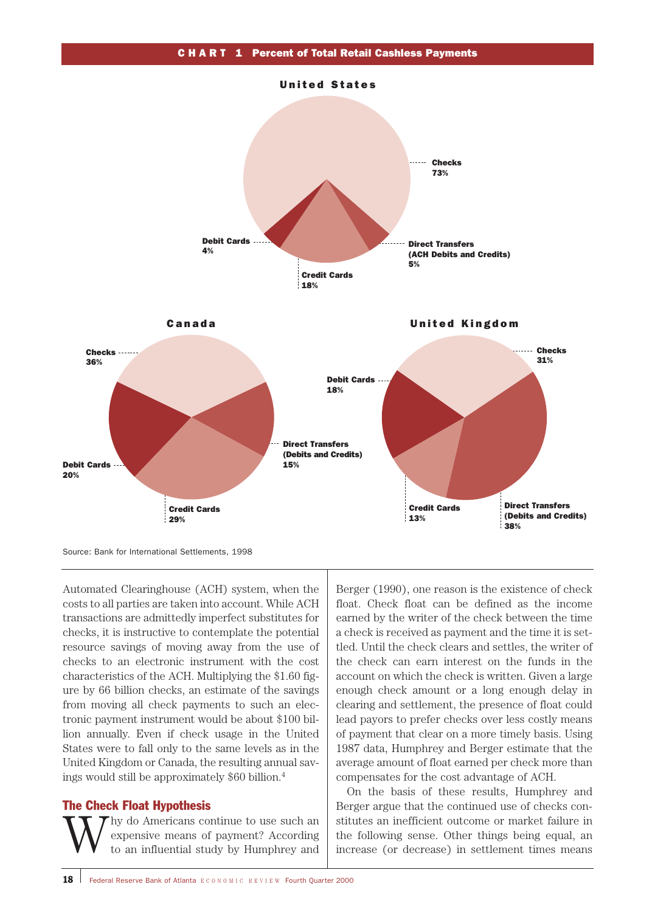

Source: Bank for International Settlements, 1998

Automated Clearinghouse (ACH) system, when the costs to all parties are taken into account. While ACH transactions are admittedly imperfect substitutes for checks, it is instructive to contemplate the potential resource savings of moving away from the use of checks to an electronic instrument with the cost characteristics of the ACH. Multiplying the \$1.60 figure by 66 billion checks, an estimate of the savings from moving all check payments to such an electronic payment instrument would be about \$100 billion annually. Even if check usage in the United States were to fall only to the same levels as in the United Kingdom or Canada, the resulting annual savings would still be approximately \$60 billion.4

### The Check Float Hypothesis

Why do Americans continue to use such an expensive means of payment? According to an influential study by Humphrey and expensive means of payment? According Berger (1990), one reason is the existence of check float. Check float can be defined as the income earned by the writer of the check between the time a check is received as payment and the time it is settled. Until the check clears and settles, the writer of the check can earn interest on the funds in the account on which the check is written. Given a large enough check amount or a long enough delay in clearing and settlement, the presence of float could lead payors to prefer checks over less costly means of payment that clear on a more timely basis. Using 1987 data, Humphrey and Berger estimate that the average amount of float earned per check more than compensates for the cost advantage of ACH.

On the basis of these results, Humphrey and Berger argue that the continued use of checks constitutes an inefficient outcome or market failure in the following sense. Other things being equal, an increase (or decrease) in settlement times means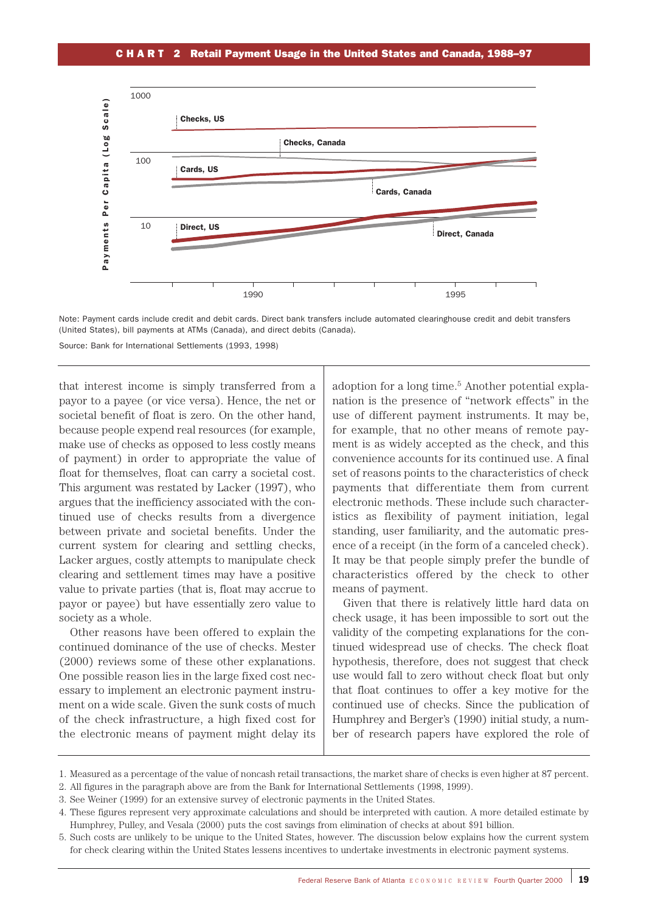#### CHART 2 Retail Payment Usage in the United States and Canada, 1988–97



Note: Payment cards include credit and debit cards. Direct bank transfers include automated clearinghouse credit and debit transfers (United States), bill payments at ATMs (Canada), and direct debits (Canada).

Source: Bank for International Settlements (1993, 1998)

that interest income is simply transferred from a payor to a payee (or vice versa). Hence, the net or societal benefit of float is zero. On the other hand, because people expend real resources (for example, make use of checks as opposed to less costly means of payment) in order to appropriate the value of float for themselves, float can carry a societal cost. This argument was restated by Lacker (1997), who argues that the inefficiency associated with the continued use of checks results from a divergence between private and societal benefits. Under the current system for clearing and settling checks, Lacker argues, costly attempts to manipulate check clearing and settlement times may have a positive value to private parties (that is, float may accrue to payor or payee) but have essentially zero value to society as a whole.

Other reasons have been offered to explain the continued dominance of the use of checks. Mester (2000) reviews some of these other explanations. One possible reason lies in the large fixed cost necessary to implement an electronic payment instrument on a wide scale. Given the sunk costs of much of the check infrastructure, a high fixed cost for the electronic means of payment might delay its

adoption for a long time.<sup>5</sup> Another potential explanation is the presence of "network effects" in the use of different payment instruments. It may be, for example, that no other means of remote payment is as widely accepted as the check, and this convenience accounts for its continued use. A final set of reasons points to the characteristics of check payments that differentiate them from current electronic methods. These include such characteristics as flexibility of payment initiation, legal standing, user familiarity, and the automatic presence of a receipt (in the form of a canceled check). It may be that people simply prefer the bundle of characteristics offered by the check to other means of payment.

Given that there is relatively little hard data on check usage, it has been impossible to sort out the validity of the competing explanations for the continued widespread use of checks. The check float hypothesis, therefore, does not suggest that check use would fall to zero without check float but only that float continues to offer a key motive for the continued use of checks. Since the publication of Humphrey and Berger's (1990) initial study, a number of research papers have explored the role of

3. See Weiner (1999) for an extensive survey of electronic payments in the United States.

<sup>1.</sup> Measured as a percentage of the value of noncash retail transactions, the market share of checks is even higher at 87 percent.

<sup>2.</sup> All figures in the paragraph above are from the Bank for International Settlements (1998, 1999).

<sup>4.</sup> These figures represent very approximate calculations and should be interpreted with caution. A more detailed estimate by Humphrey, Pulley, and Vesala (2000) puts the cost savings from elimination of checks at about \$91 billion.

<sup>5.</sup> Such costs are unlikely to be unique to the United States, however. The discussion below explains how the current system for check clearing within the United States lessens incentives to undertake investments in electronic payment systems.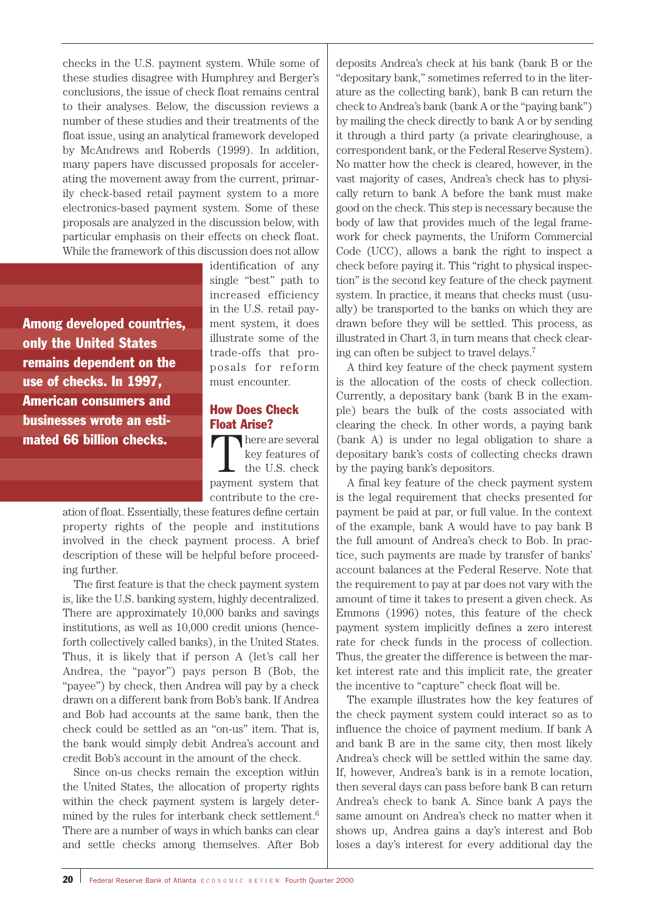checks in the U.S. payment system. While some of these studies disagree with Humphrey and Berger's conclusions, the issue of check float remains central to their analyses. Below, the discussion reviews a number of these studies and their treatments of the float issue, using an analytical framework developed by McAndrews and Roberds (1999). In addition, many papers have discussed proposals for accelerating the movement away from the current, primarily check-based retail payment system to a more electronics-based payment system. Some of these proposals are analyzed in the discussion below, with particular emphasis on their effects on check float. While the framework of this discussion does not allow

Among developed countries, only the United States remains dependent on the use of checks. In 1997, American consumers and businesses wrote an estimated 66 billion checks.

identification of any single "best" path to increased efficiency in the U.S. retail payment system, it does illustrate some of the trade-offs that proposals for reform must encounter.

#### How Does Check Float Arise?

here are several key features of the U.S. check payment system that contribute to the cre-

ation of float. Essentially, these features define certain property rights of the people and institutions involved in the check payment process. A brief description of these will be helpful before proceeding further.

The first feature is that the check payment system is, like the U.S. banking system, highly decentralized. There are approximately 10,000 banks and savings institutions, as well as 10,000 credit unions (henceforth collectively called banks), in the United States. Thus, it is likely that if person A (let's call her Andrea, the "payor") pays person B (Bob, the "payee") by check, then Andrea will pay by a check drawn on a different bank from Bob's bank. If Andrea and Bob had accounts at the same bank, then the check could be settled as an "on-us" item. That is, the bank would simply debit Andrea's account and credit Bob's account in the amount of the check.

Since on-us checks remain the exception within the United States, the allocation of property rights within the check payment system is largely determined by the rules for interbank check settlement.6 There are a number of ways in which banks can clear and settle checks among themselves. After Bob

deposits Andrea's check at his bank (bank B or the "depositary bank," sometimes referred to in the literature as the collecting bank), bank B can return the check to Andrea's bank (bank A or the "paying bank") by mailing the check directly to bank A or by sending it through a third party (a private clearinghouse, a correspondent bank, or the Federal Reserve System). No matter how the check is cleared, however, in the vast majority of cases, Andrea's check has to physically return to bank A before the bank must make good on the check. This step is necessary because the body of law that provides much of the legal framework for check payments, the Uniform Commercial Code (UCC), allows a bank the right to inspect a check before paying it. This "right to physical inspection" is the second key feature of the check payment system. In practice, it means that checks must (usually) be transported to the banks on which they are drawn before they will be settled. This process, as illustrated in Chart 3, in turn means that check clearing can often be subject to travel delays.7

A third key feature of the check payment system is the allocation of the costs of check collection. Currently, a depositary bank (bank B in the example) bears the bulk of the costs associated with clearing the check. In other words, a paying bank (bank A) is under no legal obligation to share a depositary bank's costs of collecting checks drawn by the paying bank's depositors.

A final key feature of the check payment system is the legal requirement that checks presented for payment be paid at par, or full value. In the context of the example, bank A would have to pay bank B the full amount of Andrea's check to Bob. In practice, such payments are made by transfer of banks' account balances at the Federal Reserve. Note that the requirement to pay at par does not vary with the amount of time it takes to present a given check. As Emmons (1996) notes, this feature of the check payment system implicitly defines a zero interest rate for check funds in the process of collection. Thus, the greater the difference is between the market interest rate and this implicit rate, the greater the incentive to "capture" check float will be.

The example illustrates how the key features of the check payment system could interact so as to influence the choice of payment medium. If bank A and bank B are in the same city, then most likely Andrea's check will be settled within the same day. If, however, Andrea's bank is in a remote location, then several days can pass before bank B can return Andrea's check to bank A. Since bank A pays the same amount on Andrea's check no matter when it shows up, Andrea gains a day's interest and Bob loses a day's interest for every additional day the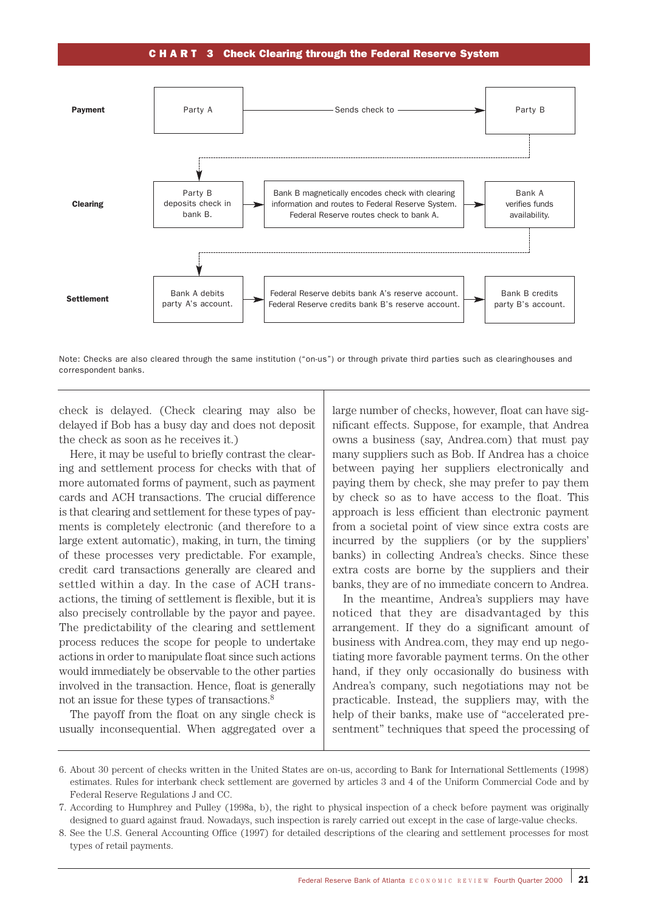#### CHART 3 Check Clearing through the Federal Reserve System



Note: Checks are also cleared through the same institution ("on-us") or through private third parties such as clearinghouses and correspondent banks.

check is delayed. (Check clearing may also be delayed if Bob has a busy day and does not deposit the check as soon as he receives it.)

Here, it may be useful to briefly contrast the clearing and settlement process for checks with that of more automated forms of payment, such as payment cards and ACH transactions. The crucial difference is that clearing and settlement for these types of payments is completely electronic (and therefore to a large extent automatic), making, in turn, the timing of these processes very predictable. For example, credit card transactions generally are cleared and settled within a day. In the case of ACH transactions, the timing of settlement is flexible, but it is also precisely controllable by the payor and payee. The predictability of the clearing and settlement process reduces the scope for people to undertake actions in order to manipulate float since such actions would immediately be observable to the other parties involved in the transaction. Hence, float is generally not an issue for these types of transactions.8

The payoff from the float on any single check is usually inconsequential. When aggregated over a large number of checks, however, float can have significant effects. Suppose, for example, that Andrea owns a business (say, Andrea.com) that must pay many suppliers such as Bob. If Andrea has a choice between paying her suppliers electronically and paying them by check, she may prefer to pay them by check so as to have access to the float. This approach is less efficient than electronic payment from a societal point of view since extra costs are incurred by the suppliers (or by the suppliers' banks) in collecting Andrea's checks. Since these extra costs are borne by the suppliers and their banks, they are of no immediate concern to Andrea.

In the meantime, Andrea's suppliers may have noticed that they are disadvantaged by this arrangement. If they do a significant amount of business with Andrea.com, they may end up negotiating more favorable payment terms. On the other hand, if they only occasionally do business with Andrea's company, such negotiations may not be practicable. Instead, the suppliers may, with the help of their banks, make use of "accelerated presentment" techniques that speed the processing of

<sup>6.</sup> About 30 percent of checks written in the United States are on-us, according to Bank for International Settlements (1998) estimates. Rules for interbank check settlement are governed by articles 3 and 4 of the Uniform Commercial Code and by Federal Reserve Regulations J and CC.

<sup>7.</sup> According to Humphrey and Pulley (1998a, b), the right to physical inspection of a check before payment was originally designed to guard against fraud. Nowadays, such inspection is rarely carried out except in the case of large-value checks.

<sup>8.</sup> See the U.S. General Accounting Office (1997) for detailed descriptions of the clearing and settlement processes for most types of retail payments.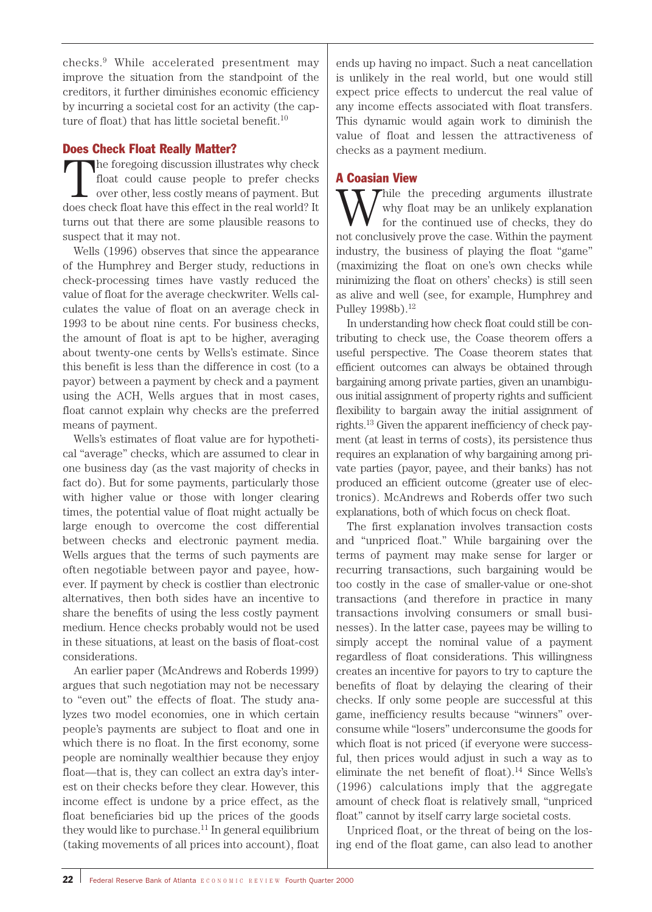checks.9 While accelerated presentment may improve the situation from the standpoint of the creditors, it further diminishes economic efficiency by incurring a societal cost for an activity (the capture of float) that has little societal benefit.<sup>10</sup>

## Does Check Float Really Matter?

The foregoing discussion illustrates why check float could cause people to prefer checks over other, less costly means of payment. But does check float have this effect in the real world? It turns out that there are some plausible reasons to suspect that it may not.

Wells (1996) observes that since the appearance of the Humphrey and Berger study, reductions in check-processing times have vastly reduced the value of float for the average checkwriter. Wells calculates the value of float on an average check in 1993 to be about nine cents. For business checks, the amount of float is apt to be higher, averaging about twenty-one cents by Wells's estimate. Since this benefit is less than the difference in cost (to a payor) between a payment by check and a payment using the ACH, Wells argues that in most cases, float cannot explain why checks are the preferred means of payment.

Wells's estimates of float value are for hypothetical "average" checks, which are assumed to clear in one business day (as the vast majority of checks in fact do). But for some payments, particularly those with higher value or those with longer clearing times, the potential value of float might actually be large enough to overcome the cost differential between checks and electronic payment media. Wells argues that the terms of such payments are often negotiable between payor and payee, however. If payment by check is costlier than electronic alternatives, then both sides have an incentive to share the benefits of using the less costly payment medium. Hence checks probably would not be used in these situations, at least on the basis of float-cost considerations.

An earlier paper (McAndrews and Roberds 1999) argues that such negotiation may not be necessary to "even out" the effects of float. The study analyzes two model economies, one in which certain people's payments are subject to float and one in which there is no float. In the first economy, some people are nominally wealthier because they enjoy float—that is, they can collect an extra day's interest on their checks before they clear. However, this income effect is undone by a price effect, as the float beneficiaries bid up the prices of the goods they would like to purchase.<sup>11</sup> In general equilibrium (taking movements of all prices into account), float

ends up having no impact. Such a neat cancellation is unlikely in the real world, but one would still expect price effects to undercut the real value of any income effects associated with float transfers. This dynamic would again work to diminish the value of float and lessen the attractiveness of checks as a payment medium.

# A Coasian View

While the preceding arguments illustrate<br>for the continued use of checks, they do<br>not conclusively preve the sees Within the payment why float may be an unlikely explanation for the continued use of checks, they do not conclusively prove the case. Within the payment industry, the business of playing the float "game" (maximizing the float on one's own checks while minimizing the float on others' checks) is still seen as alive and well (see, for example, Humphrey and Pulley 1998b).<sup>12</sup>

In understanding how check float could still be contributing to check use, the Coase theorem offers a useful perspective. The Coase theorem states that efficient outcomes can always be obtained through bargaining among private parties, given an unambiguous initial assignment of property rights and sufficient flexibility to bargain away the initial assignment of rights.13 Given the apparent inefficiency of check payment (at least in terms of costs), its persistence thus requires an explanation of why bargaining among private parties (payor, payee, and their banks) has not produced an efficient outcome (greater use of electronics). McAndrews and Roberds offer two such explanations, both of which focus on check float.

The first explanation involves transaction costs and "unpriced float." While bargaining over the terms of payment may make sense for larger or recurring transactions, such bargaining would be too costly in the case of smaller-value or one-shot transactions (and therefore in practice in many transactions involving consumers or small businesses). In the latter case, payees may be willing to simply accept the nominal value of a payment regardless of float considerations. This willingness creates an incentive for payors to try to capture the benefits of float by delaying the clearing of their checks. If only some people are successful at this game, inefficiency results because "winners" overconsume while "losers" underconsume the goods for which float is not priced (if everyone were successful, then prices would adjust in such a way as to eliminate the net benefit of float).14 Since Wells's (1996) calculations imply that the aggregate amount of check float is relatively small, "unpriced float" cannot by itself carry large societal costs.

Unpriced float, or the threat of being on the losing end of the float game, can also lead to another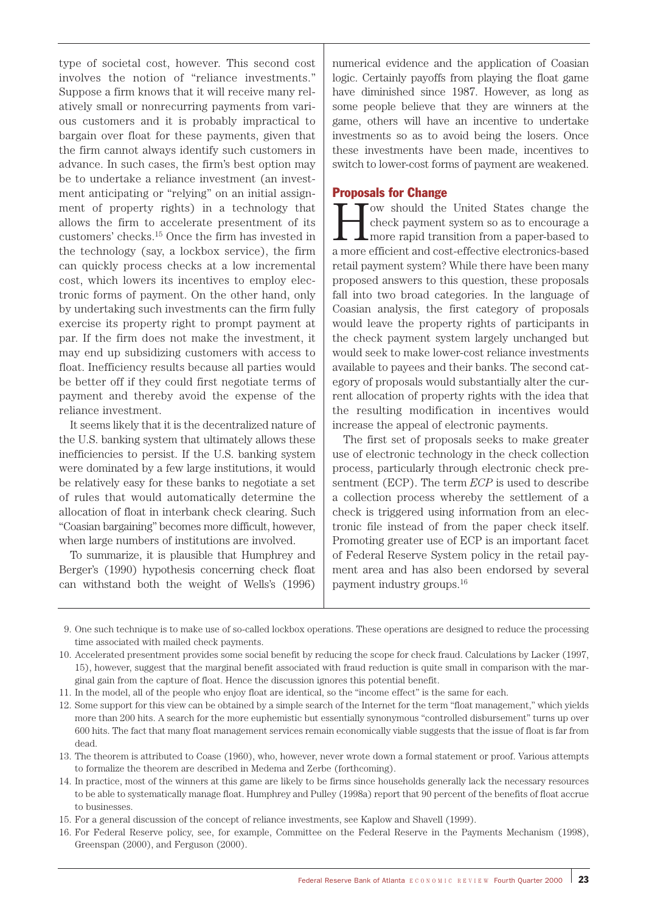type of societal cost, however. This second cost involves the notion of "reliance investments." Suppose a firm knows that it will receive many relatively small or nonrecurring payments from various customers and it is probably impractical to bargain over float for these payments, given that the firm cannot always identify such customers in advance. In such cases, the firm's best option may be to undertake a reliance investment (an investment anticipating or "relying" on an initial assignment of property rights) in a technology that allows the firm to accelerate presentment of its customers' checks.15 Once the firm has invested in the technology (say, a lockbox service), the firm can quickly process checks at a low incremental cost, which lowers its incentives to employ electronic forms of payment. On the other hand, only by undertaking such investments can the firm fully exercise its property right to prompt payment at par. If the firm does not make the investment, it may end up subsidizing customers with access to float. Inefficiency results because all parties would be better off if they could first negotiate terms of payment and thereby avoid the expense of the reliance investment.

It seems likely that it is the decentralized nature of the U.S. banking system that ultimately allows these inefficiencies to persist. If the U.S. banking system were dominated by a few large institutions, it would be relatively easy for these banks to negotiate a set of rules that would automatically determine the allocation of float in interbank check clearing. Such "Coasian bargaining" becomes more difficult, however, when large numbers of institutions are involved.

To summarize, it is plausible that Humphrey and Berger's (1990) hypothesis concerning check float can withstand both the weight of Wells's (1996)

numerical evidence and the application of Coasian logic. Certainly payoffs from playing the float game have diminished since 1987. However, as long as some people believe that they are winners at the game, others will have an incentive to undertake investments so as to avoid being the losers. Once these investments have been made, incentives to switch to lower-cost forms of payment are weakened.

# Proposals for Change

ow should the United States change the check payment system so as to encourage a more rapid transition from a paper-based to a more efficient and cost-effective electronics-based retail payment system? While there have been many proposed answers to this question, these proposals fall into two broad categories. In the language of Coasian analysis, the first category of proposals would leave the property rights of participants in the check payment system largely unchanged but would seek to make lower-cost reliance investments available to payees and their banks. The second category of proposals would substantially alter the current allocation of property rights with the idea that the resulting modification in incentives would increase the appeal of electronic payments.

The first set of proposals seeks to make greater use of electronic technology in the check collection process, particularly through electronic check presentment (ECP). The term *ECP* is used to describe a collection process whereby the settlement of a check is triggered using information from an electronic file instead of from the paper check itself. Promoting greater use of ECP is an important facet of Federal Reserve System policy in the retail payment area and has also been endorsed by several payment industry groups.16

- 9. One such technique is to make use of so-called lockbox operations. These operations are designed to reduce the processing time associated with mailed check payments.
- 10. Accelerated presentment provides some social benefit by reducing the scope for check fraud. Calculations by Lacker (1997, 15), however, suggest that the marginal benefit associated with fraud reduction is quite small in comparison with the marginal gain from the capture of float. Hence the discussion ignores this potential benefit.
- 11. In the model, all of the people who enjoy float are identical, so the "income effect" is the same for each.
- 12. Some support for this view can be obtained by a simple search of the Internet for the term "float management," which yields more than 200 hits. A search for the more euphemistic but essentially synonymous "controlled disbursement" turns up over 600 hits. The fact that many float management services remain economically viable suggests that the issue of float is far from dead.
- 13. The theorem is attributed to Coase (1960), who, however, never wrote down a formal statement or proof. Various attempts to formalize the theorem are described in Medema and Zerbe (forthcoming).
- 14. In practice, most of the winners at this game are likely to be firms since households generally lack the necessary resources to be able to systematically manage float. Humphrey and Pulley (1998a) report that 90 percent of the benefits of float accrue to businesses.
- 15. For a general discussion of the concept of reliance investments, see Kaplow and Shavell (1999).
- 16. For Federal Reserve policy, see, for example, Committee on the Federal Reserve in the Payments Mechanism (1998), Greenspan (2000), and Ferguson (2000).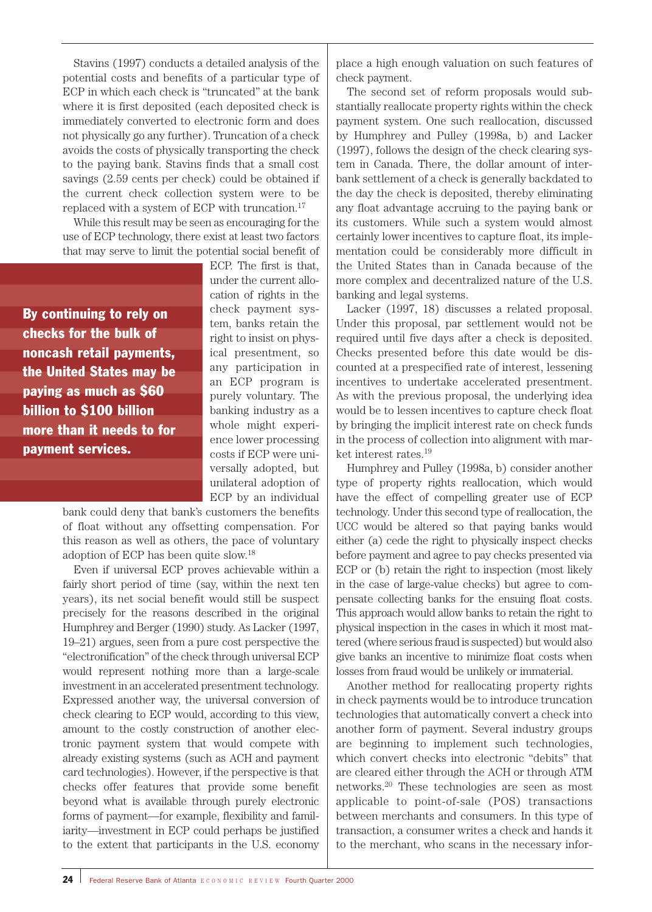Stavins (1997) conducts a detailed analysis of the potential costs and benefits of a particular type of ECP in which each check is "truncated" at the bank where it is first deposited (each deposited check is immediately converted to electronic form and does not physically go any further). Truncation of a check avoids the costs of physically transporting the check to the paying bank. Stavins finds that a small cost savings (2.59 cents per check) could be obtained if the current check collection system were to be replaced with a system of ECP with truncation.17

While this result may be seen as encouraging for the use of ECP technology, there exist at least two factors that may serve to limit the potential social benefit of

By continuing to rely on checks for the bulk of noncash retail payments, the United States may be paying as much as \$60 billion to \$100 billion more than it needs to for payment services.

ECP. The first is that, under the current allocation of rights in the check payment system, banks retain the right to insist on physical presentment, so any participation in an ECP program is purely voluntary. The banking industry as a whole might experience lower processing costs if ECP were universally adopted, but unilateral adoption of ECP by an individual

bank could deny that bank's customers the benefits of float without any offsetting compensation. For this reason as well as others, the pace of voluntary adoption of ECP has been quite slow.18

Even if universal ECP proves achievable within a fairly short period of time (say, within the next ten years), its net social benefit would still be suspect precisely for the reasons described in the original Humphrey and Berger (1990) study. As Lacker (1997, 19–21) argues, seen from a pure cost perspective the "electronification" of the check through universal ECP would represent nothing more than a large-scale investment in an accelerated presentment technology. Expressed another way, the universal conversion of check clearing to ECP would, according to this view, amount to the costly construction of another electronic payment system that would compete with already existing systems (such as ACH and payment card technologies). However, if the perspective is that checks offer features that provide some benefit beyond what is available through purely electronic forms of payment—for example, flexibility and familiarity—investment in ECP could perhaps be justified to the extent that participants in the U.S. economy

place a high enough valuation on such features of check payment.

The second set of reform proposals would substantially reallocate property rights within the check payment system. One such reallocation, discussed by Humphrey and Pulley (1998a, b) and Lacker (1997), follows the design of the check clearing system in Canada. There, the dollar amount of interbank settlement of a check is generally backdated to the day the check is deposited, thereby eliminating any float advantage accruing to the paying bank or its customers. While such a system would almost certainly lower incentives to capture float, its implementation could be considerably more difficult in the United States than in Canada because of the more complex and decentralized nature of the U.S. banking and legal systems.

Lacker (1997, 18) discusses a related proposal. Under this proposal, par settlement would not be required until five days after a check is deposited. Checks presented before this date would be discounted at a prespecified rate of interest, lessening incentives to undertake accelerated presentment. As with the previous proposal, the underlying idea would be to lessen incentives to capture check float by bringing the implicit interest rate on check funds in the process of collection into alignment with market interest rates.19

Humphrey and Pulley (1998a, b) consider another type of property rights reallocation, which would have the effect of compelling greater use of ECP technology. Under this second type of reallocation, the UCC would be altered so that paying banks would either (a) cede the right to physically inspect checks before payment and agree to pay checks presented via ECP or (b) retain the right to inspection (most likely in the case of large-value checks) but agree to compensate collecting banks for the ensuing float costs. This approach would allow banks to retain the right to physical inspection in the cases in which it most mattered (where serious fraud is suspected) but would also give banks an incentive to minimize float costs when losses from fraud would be unlikely or immaterial.

Another method for reallocating property rights in check payments would be to introduce truncation technologies that automatically convert a check into another form of payment. Several industry groups are beginning to implement such technologies, which convert checks into electronic "debits" that are cleared either through the ACH or through ATM networks.20 These technologies are seen as most applicable to point-of-sale (POS) transactions between merchants and consumers. In this type of transaction, a consumer writes a check and hands it to the merchant, who scans in the necessary infor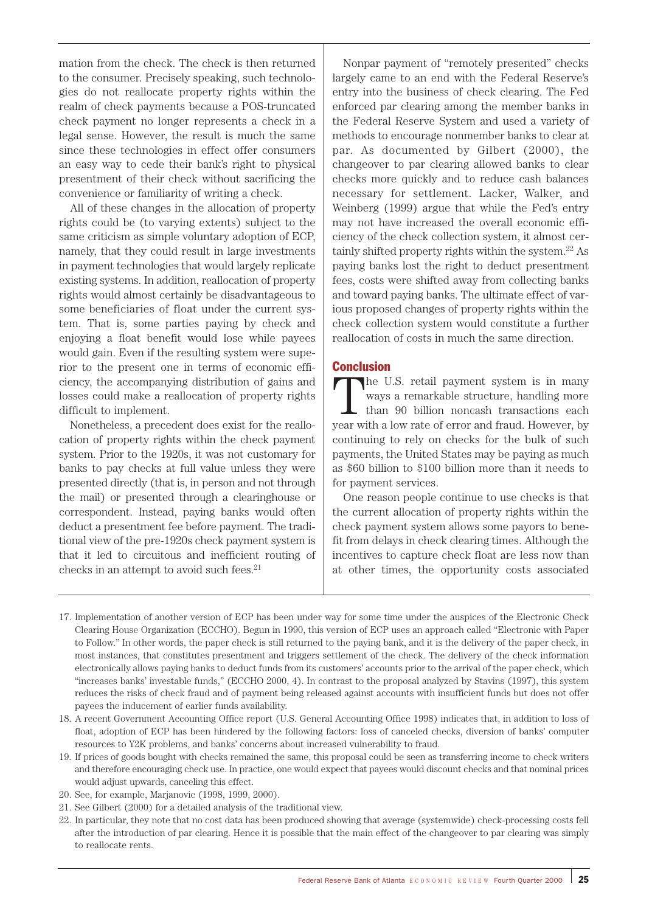mation from the check. The check is then returned to the consumer. Precisely speaking, such technologies do not reallocate property rights within the realm of check payments because a POS-truncated check payment no longer represents a check in a legal sense. However, the result is much the same since these technologies in effect offer consumers an easy way to cede their bank's right to physical presentment of their check without sacrificing the convenience or familiarity of writing a check.

All of these changes in the allocation of property rights could be (to varying extents) subject to the same criticism as simple voluntary adoption of ECP, namely, that they could result in large investments in payment technologies that would largely replicate existing systems. In addition, reallocation of property rights would almost certainly be disadvantageous to some beneficiaries of float under the current system. That is, some parties paying by check and enjoying a float benefit would lose while payees would gain. Even if the resulting system were superior to the present one in terms of economic efficiency, the accompanying distribution of gains and losses could make a reallocation of property rights difficult to implement.

Nonetheless, a precedent does exist for the reallocation of property rights within the check payment system. Prior to the 1920s, it was not customary for banks to pay checks at full value unless they were presented directly (that is, in person and not through the mail) or presented through a clearinghouse or correspondent. Instead, paying banks would often deduct a presentment fee before payment. The traditional view of the pre-1920s check payment system is that it led to circuitous and inefficient routing of checks in an attempt to avoid such fees.<sup>21</sup>

Nonpar payment of "remotely presented" checks largely came to an end with the Federal Reserve's entry into the business of check clearing. The Fed enforced par clearing among the member banks in the Federal Reserve System and used a variety of methods to encourage nonmember banks to clear at par. As documented by Gilbert (2000), the changeover to par clearing allowed banks to clear checks more quickly and to reduce cash balances necessary for settlement. Lacker, Walker, and Weinberg (1999) argue that while the Fed's entry may not have increased the overall economic efficiency of the check collection system, it almost certainly shifted property rights within the system.22 As paying banks lost the right to deduct presentment fees, costs were shifted away from collecting banks and toward paying banks. The ultimate effect of various proposed changes of property rights within the check collection system would constitute a further reallocation of costs in much the same direction.

# **Conclusion**

The U.S. retail payment system is in many ways a remarkable structure, handling more than 90 billion noncash transactions each year with a low rate of error and fraud. However, by continuing to rely on checks for the bulk of such payments, the United States may be paying as much as \$60 billion to \$100 billion more than it needs to for payment services.

One reason people continue to use checks is that the current allocation of property rights within the check payment system allows some payors to benefit from delays in check clearing times. Although the incentives to capture check float are less now than at other times, the opportunity costs associated

- 17. Implementation of another version of ECP has been under way for some time under the auspices of the Electronic Check Clearing House Organization (ECCHO). Begun in 1990, this version of ECP uses an approach called "Electronic with Paper to Follow." In other words, the paper check is still returned to the paying bank, and it is the delivery of the paper check, in most instances, that constitutes presentment and triggers settlement of the check. The delivery of the check information electronically allows paying banks to deduct funds from its customers' accounts prior to the arrival of the paper check, which "increases banks' investable funds," (ECCHO 2000, 4). In contrast to the proposal analyzed by Stavins (1997), this system reduces the risks of check fraud and of payment being released against accounts with insufficient funds but does not offer payees the inducement of earlier funds availability.
- 18. A recent Government Accounting Office report (U.S. General Accounting Office 1998) indicates that, in addition to loss of float, adoption of ECP has been hindered by the following factors: loss of canceled checks, diversion of banks' computer resources to Y2K problems, and banks' concerns about increased vulnerability to fraud.
- 19. If prices of goods bought with checks remained the same, this proposal could be seen as transferring income to check writers and therefore encouraging check use. In practice, one would expect that payees would discount checks and that nominal prices would adjust upwards, canceling this effect.
- 20. See, for example, Marjanovic (1998, 1999, 2000).
- 21. See Gilbert (2000) for a detailed analysis of the traditional view.
- 22. In particular, they note that no cost data has been produced showing that average (systemwide) check-processing costs fell after the introduction of par clearing. Hence it is possible that the main effect of the changeover to par clearing was simply to reallocate rents.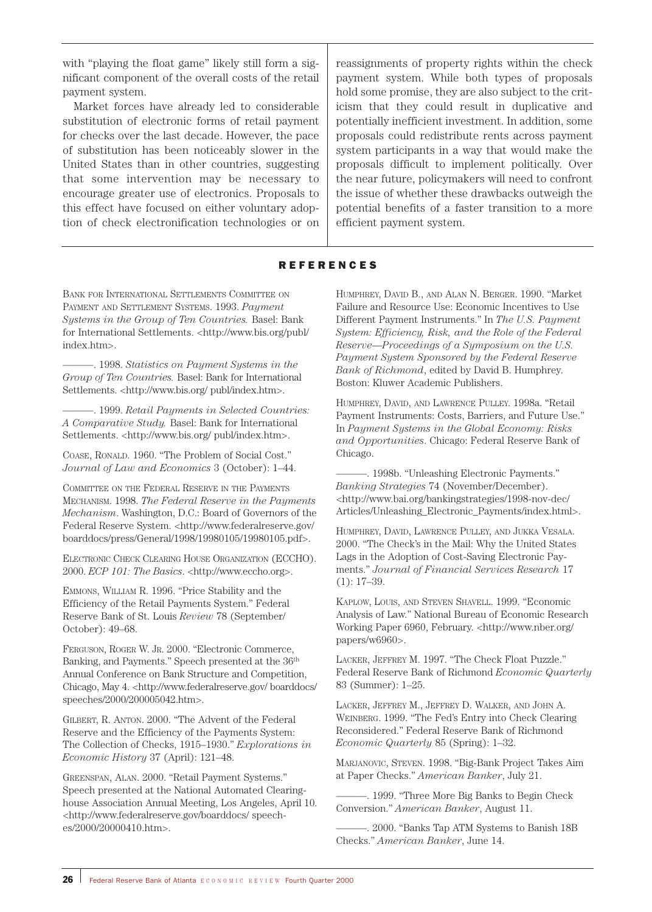with "playing the float game" likely still form a significant component of the overall costs of the retail payment system.

Market forces have already led to considerable substitution of electronic forms of retail payment for checks over the last decade. However, the pace of substitution has been noticeably slower in the United States than in other countries, suggesting that some intervention may be necessary to encourage greater use of electronics. Proposals to this effect have focused on either voluntary adoption of check electronification technologies or on

reassignments of property rights within the check payment system. While both types of proposals hold some promise, they are also subject to the criticism that they could result in duplicative and potentially inefficient investment. In addition, some proposals could redistribute rents across payment system participants in a way that would make the proposals difficult to implement politically. Over the near future, policymakers will need to confront the issue of whether these drawbacks outweigh the potential benefits of a faster transition to a more efficient payment system.

### REFERENCES

BANK FOR INTERNATIONAL SETTLEMENTS COMMITTEE ON PAYMENT AND SETTLEMENT SYSTEMS. 1993. *Payment Systems in the Group of Ten Countries.* Basel: Bank for International Settlements. <http://www.bis.org/publ/ index.htm>.

———. 1998. *Statistics on Payment Systems in the Group of Ten Countries.* Basel: Bank for International Settlements. <http://www.bis.org/ publ/index.htm>.

———. 1999. *Retail Payments in Selected Countries: A Comparative Study.* Basel: Bank for International Settlements. <http://www.bis.org/ publ/index.htm>.

COASE, RONALD. 1960. "The Problem of Social Cost." *Journal of Law and Economics* 3 (October): 1–44.

COMMITTEE ON THE FEDERAL RESERVE IN THE PAYMENTS MECHANISM. 1998. *The Federal Reserve in the Payments Mechanism*. Washington, D.C.: Board of Governors of the Federal Reserve System. <http://www.federalreserve.gov/ boarddocs/press/General/1998/19980105/19980105.pdf>.

ELECTRONIC CHECK CLEARING HOUSE ORGANIZATION (ECCHO). 2000. *ECP 101: The Basics*. <http://www.eccho.org>.

EMMONS, WILLIAM R. 1996. "Price Stability and the Efficiency of the Retail Payments System." Federal Reserve Bank of St. Louis *Review* 78 (September/ October): 49–68.

FERGUSON, ROGER W. JR. 2000. "Electronic Commerce, Banking, and Payments." Speech presented at the  $36^{\mathrm{th}}$ Annual Conference on Bank Structure and Competition, Chicago, May 4. <http://www.federalreserve.gov/ boarddocs/ speeches/2000/200005042.htm>.

GILBERT, R. ANTON. 2000. "The Advent of the Federal Reserve and the Efficiency of the Payments System: The Collection of Checks, 1915–1930." *Explorations in Economic History* 37 (April): 121–48.

GREENSPAN, ALAN. 2000. "Retail Payment Systems." Speech presented at the National Automated Clearinghouse Association Annual Meeting, Los Angeles, April 10. <http://www.federalreserve.gov/boarddocs/ speeches/2000/20000410.htm>.

HUMPHREY, DAVID B., AND ALAN N. BERGER. 1990. "Market Failure and Resource Use: Economic Incentives to Use Different Payment Instruments." In *The U.S. Payment System: Efficiency, Risk, and the Role of the Federal Reserve—Proceedings of a Symposium on the U.S. Payment System Sponsored by the Federal Reserve Bank of Richmond*, edited by David B. Humphrey. Boston: Kluwer Academic Publishers.

HUMPHREY, DAVID, AND LAWRENCE PULLEY. 1998a. "Retail Payment Instruments: Costs, Barriers, and Future Use." In *Payment Systems in the Global Economy: Risks and Opportunities*. Chicago: Federal Reserve Bank of Chicago.

———. 1998b. "Unleashing Electronic Payments." *Banking Strategies* 74 (November/December). <http://www.bai.org/bankingstrategies/1998-nov-dec/ Articles/Unleashing\_Electronic\_Payments/index.html>.

HUMPHREY, DAVID, LAWRENCE PULLEY, AND JUKKA VESALA. 2000. "The Check's in the Mail: Why the United States Lags in the Adoption of Cost-Saving Electronic Payments." *Journal of Financial Services Research* 17 (1): 17–39.

KAPLOW, LOUIS, AND STEVEN SHAVELL. 1999. "Economic Analysis of Law." National Bureau of Economic Research Working Paper 6960, February. <http://www.nber.org/ papers/w6960>.

LACKER, JEFFREY M. 1997. "The Check Float Puzzle." Federal Reserve Bank of Richmond *Economic Quarterly* 83 (Summer): 1–25.

LACKER, JEFFREY M., JEFFREY D. WALKER, AND JOHN A. WEINBERG. 1999. "The Fed's Entry into Check Clearing Reconsidered." Federal Reserve Bank of Richmond *Economic Quarterly* 85 (Spring): 1–32.

MARJANOVIC, STEVEN. 1998. "Big-Bank Project Takes Aim at Paper Checks." *American Banker*, July 21.

———. 1999. "Three More Big Banks to Begin Check Conversion." *American Banker*, August 11.

-. 2000. "Banks Tap ATM Systems to Banish 18B Checks." *American Banker*, June 14.